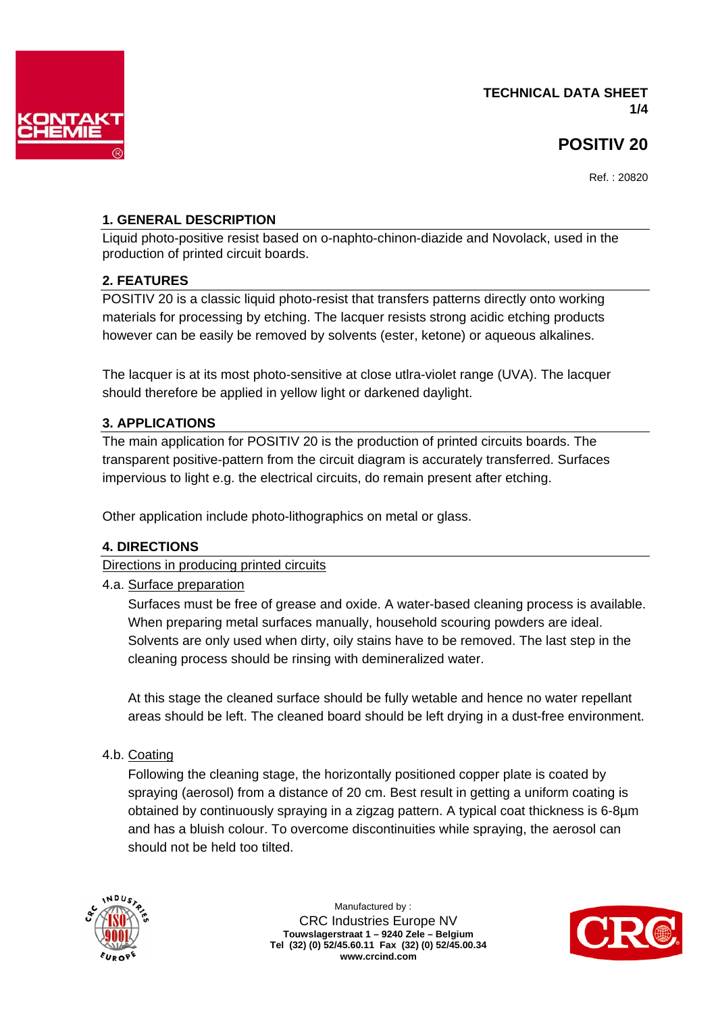

# **TECHNICAL DATA SHEET 1/4**

# **POSITIV 20**

Ref. : 20820

# **1. GENERAL DESCRIPTION**

Liquid photo-positive resist based on o-naphto-chinon-diazide and Novolack, used in the production of printed circuit boards.

# **2. FEATURES**

POSITIV 20 is a classic liquid photo-resist that transfers patterns directly onto working materials for processing by etching. The lacquer resists strong acidic etching products however can be easily be removed by solvents (ester, ketone) or aqueous alkalines.

The lacquer is at its most photo-sensitive at close utlra-violet range (UVA). The lacquer should therefore be applied in yellow light or darkened daylight.

# **3. APPLICATIONS**

The main application for POSITIV 20 is the production of printed circuits boards. The transparent positive-pattern from the circuit diagram is accurately transferred. Surfaces impervious to light e.g. the electrical circuits, do remain present after etching.

Other application include photo-lithographics on metal or glass.

# **4. DIRECTIONS**

Directions in producing printed circuits

# 4.a. Surface preparation

 Surfaces must be free of grease and oxide. A water-based cleaning process is available. When preparing metal surfaces manually, household scouring powders are ideal. Solvents are only used when dirty, oily stains have to be removed. The last step in the cleaning process should be rinsing with demineralized water.

 At this stage the cleaned surface should be fully wetable and hence no water repellant areas should be left. The cleaned board should be left drying in a dust-free environment.

# 4.b. Coating

 Following the cleaning stage, the horizontally positioned copper plate is coated by spraying (aerosol) from a distance of 20 cm. Best result in getting a uniform coating is obtained by continuously spraying in a zigzag pattern. A typical coat thickness is 6-8µm and has a bluish colour. To overcome discontinuities while spraying, the aerosol can should not be held too tilted.



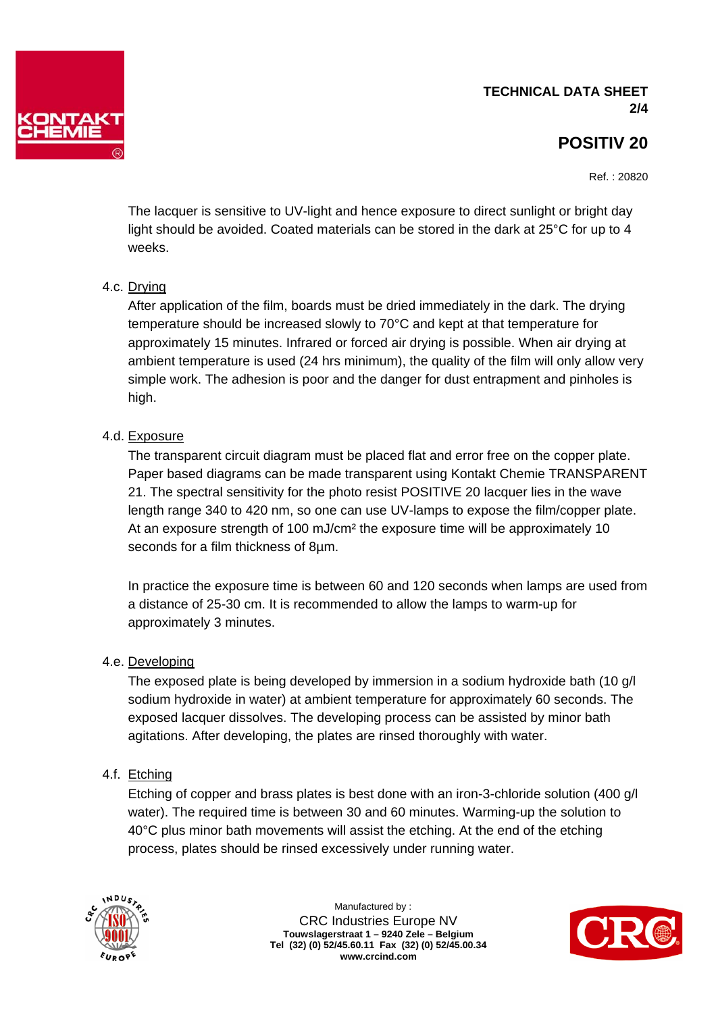# **TECHNICAL DATA SHEET 2/4**



Ref. : 20820

 The lacquer is sensitive to UV-light and hence exposure to direct sunlight or bright day light should be avoided. Coated materials can be stored in the dark at 25°C for up to 4 weeks.

# 4.c. Drying

 After application of the film, boards must be dried immediately in the dark. The drying temperature should be increased slowly to 70°C and kept at that temperature for approximately 15 minutes. Infrared or forced air drying is possible. When air drying at ambient temperature is used (24 hrs minimum), the quality of the film will only allow very simple work. The adhesion is poor and the danger for dust entrapment and pinholes is high.

# 4.d. Exposure

 The transparent circuit diagram must be placed flat and error free on the copper plate. Paper based diagrams can be made transparent using Kontakt Chemie TRANSPARENT 21. The spectral sensitivity for the photo resist POSITIVE 20 lacquer lies in the wave length range 340 to 420 nm, so one can use UV-lamps to expose the film/copper plate. At an exposure strength of 100 mJ/cm² the exposure time will be approximately 10 seconds for a film thickness of 8um.

 In practice the exposure time is between 60 and 120 seconds when lamps are used from a distance of 25-30 cm. It is recommended to allow the lamps to warm-up for approximately 3 minutes.

# 4.e. Developing

 The exposed plate is being developed by immersion in a sodium hydroxide bath (10 g/l sodium hydroxide in water) at ambient temperature for approximately 60 seconds. The exposed lacquer dissolves. The developing process can be assisted by minor bath agitations. After developing, the plates are rinsed thoroughly with water.

# 4.f. Etching

 Etching of copper and brass plates is best done with an iron-3-chloride solution (400 g/l water). The required time is between 30 and 60 minutes. Warming-up the solution to 40°C plus minor bath movements will assist the etching. At the end of the etching process, plates should be rinsed excessively under running water.



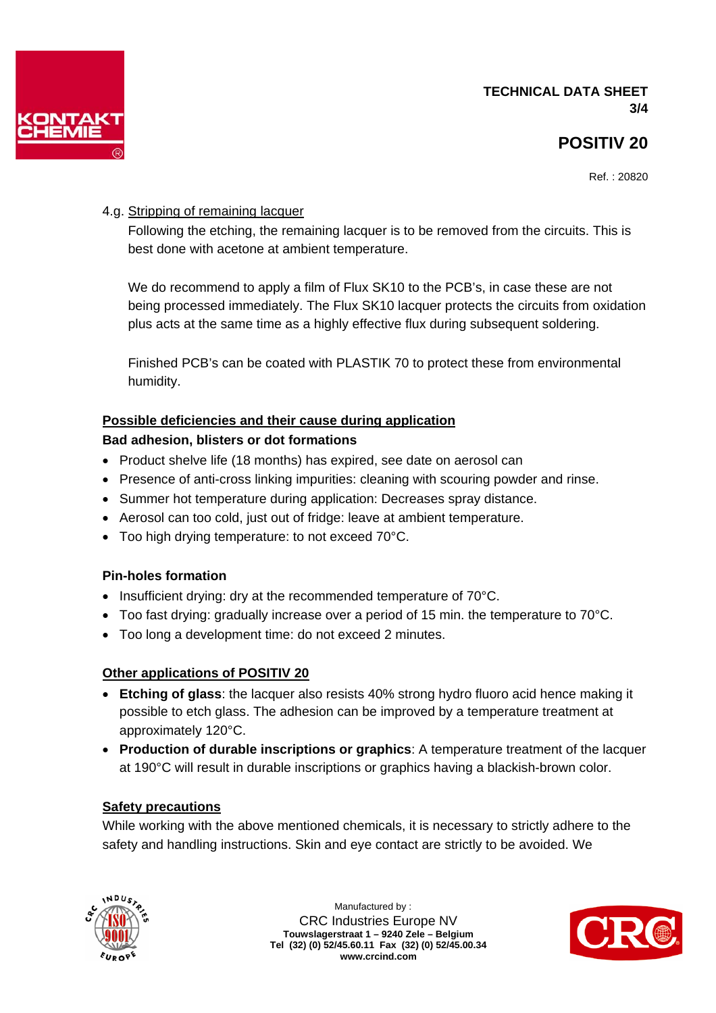



Ref. : 20820

# 4.g. Stripping of remaining lacquer

 Following the etching, the remaining lacquer is to be removed from the circuits. This is best done with acetone at ambient temperature.

 We do recommend to apply a film of Flux SK10 to the PCB's, in case these are not being processed immediately. The Flux SK10 lacquer protects the circuits from oxidation plus acts at the same time as a highly effective flux during subsequent soldering.

 Finished PCB's can be coated with PLASTIK 70 to protect these from environmental humidity.

#### **Possible deficiencies and their cause during application**

#### **Bad adhesion, blisters or dot formations**

- Product shelve life (18 months) has expired, see date on aerosol can
- Presence of anti-cross linking impurities: cleaning with scouring powder and rinse.
- Summer hot temperature during application: Decreases spray distance.
- Aerosol can too cold, just out of fridge: leave at ambient temperature.
- Too high drying temperature: to not exceed 70°C.

#### **Pin-holes formation**

- Insufficient drying: dry at the recommended temperature of 70°C.
- Too fast drying: gradually increase over a period of 15 min. the temperature to  $70^{\circ}$ C.
- Too long a development time: do not exceed 2 minutes.

# **Other applications of POSITIV 20**

- **Etching of glass**: the lacquer also resists 40% strong hydro fluoro acid hence making it possible to etch glass. The adhesion can be improved by a temperature treatment at approximately 120°C.
- **Production of durable inscriptions or graphics**: A temperature treatment of the lacquer at 190°C will result in durable inscriptions or graphics having a blackish-brown color.

# **Safety precautions**

While working with the above mentioned chemicals, it is necessary to strictly adhere to the safety and handling instructions. Skin and eye contact are strictly to be avoided. We